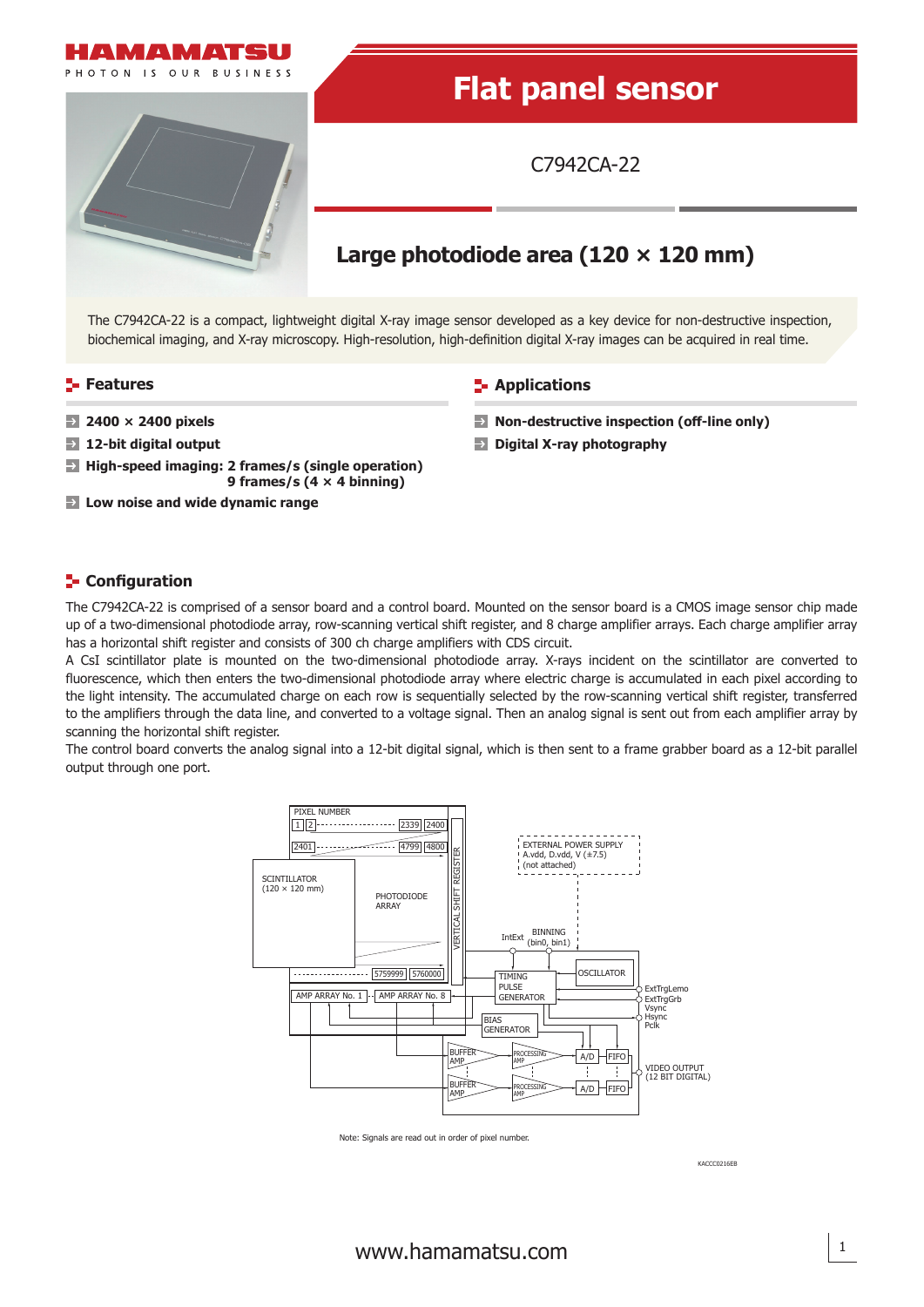

## **E-** Configuration

The C7942CA-22 is comprised of a sensor board and a control board. Mounted on the sensor board is a CMOS image sensor chip made up of a two-dimensional photodiode array, row-scanning vertical shift register, and 8 charge amplifier arrays. Each charge amplifier array has a horizontal shift register and consists of 300 ch charge amplifiers with CDS circuit.

A CsI scintillator plate is mounted on the two-dimensional photodiode array. X-rays incident on the scintillator are converted to fluorescence, which then enters the two-dimensional photodiode array where electric charge is accumulated in each pixel according to the light intensity. The accumulated charge on each row is sequentially selected by the row-scanning vertical shift register, transferred to the amplifiers through the data line, and converted to a voltage signal. Then an analog signal is sent out from each amplifier array by scanning the horizontal shift register.

The control board converts the analog signal into a 12-bit digital signal, which is then sent to a frame grabber board as a 12-bit parallel output through one port.



Note: Signals are read out in order of pixel number.

KACCC0216E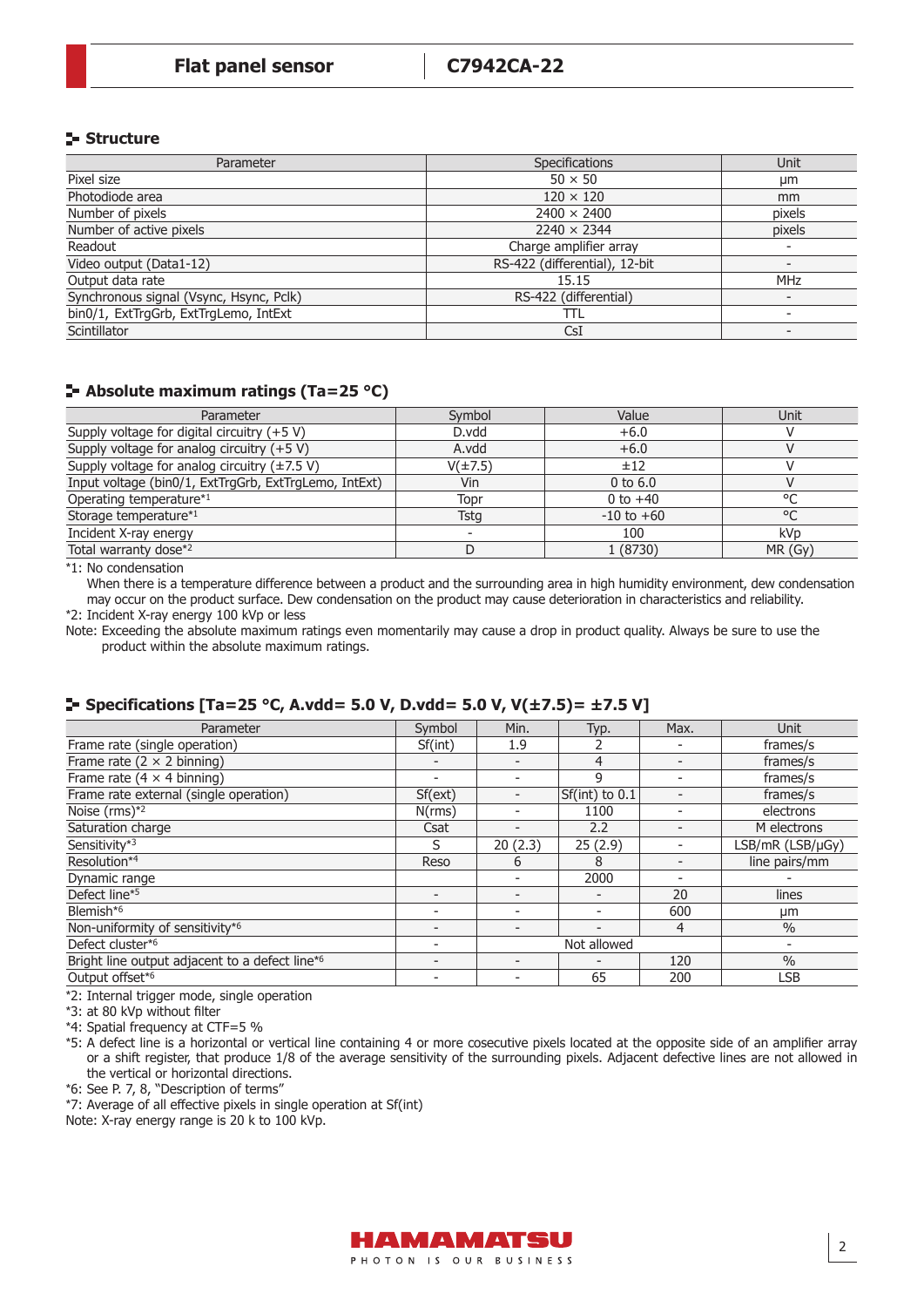# **Structure**

| Parameter                               | <b>Specifications</b>         | Unit                     |
|-----------------------------------------|-------------------------------|--------------------------|
| Pixel size                              | $50 \times 50$                | µm                       |
| Photodiode area                         | $120 \times 120$              | mm                       |
| Number of pixels                        | $2400 \times 2400$            | pixels                   |
| Number of active pixels                 | $2240 \times 2344$            | pixels                   |
| Readout                                 | Charge amplifier array        | $\overline{\phantom{a}}$ |
| Video output (Data1-12)                 | RS-422 (differential), 12-bit | $\overline{\phantom{0}}$ |
| Output data rate                        | 15.15                         | <b>MHz</b>               |
| Synchronous signal (Vsync, Hsync, Pclk) | RS-422 (differential)         | $\overline{\phantom{0}}$ |
| bin0/1, ExtTrgGrb, ExtTrgLemo, IntExt   | TΤL                           | $\overline{\phantom{a}}$ |
| Scintillator                            | CsI                           |                          |

# **Absolute maximum ratings (Ta=25 °C)**

| Parameter                                                 | Symbol       | Value          | Unit            |
|-----------------------------------------------------------|--------------|----------------|-----------------|
| Supply voltage for digital circuitry $(+5 V)$             | D.vdd        | $+6.0$         |                 |
| Supply voltage for analog circuitry (+5 V)                | A.vdd        | $+6.0$         |                 |
| Supply voltage for analog circuitry $(\pm 7.5 \text{ V})$ | $V(\pm 7.5)$ | ±12            |                 |
| Input voltage (bin0/1, ExtTrgGrb, ExtTrgLemo, IntExt)     | Vin          | $0$ to $6.0$   |                 |
| Operating temperature*1                                   | Topr         | 0 to $+40$     | $\circ$         |
| Storage temperature*1                                     | Tstg         | $-10$ to $+60$ | °C              |
| Incident X-ray energy                                     |              | 100            | kV <sub>D</sub> |
| Total warranty dose*2                                     |              | 1 (8730)       | MR(Gy)          |

 $\overline{1}$ : No condensation

When there is a temperature difference between a product and the surrounding area in high humidity environment, dew condensation may occur on the product surface. Dew condensation on the product may cause deterioration in characteristics and reliability.

\*2: Incident X-ray energy 100 kVp or less

Note: Exceeding the absolute maximum ratings even momentarily may cause a drop in product quality. Always be sure to use the product within the absolute maximum ratings.

# **Specifications [Ta=25 °C, A.vdd= 5.0 V, D.vdd= 5.0 V, V(±7.5)= ±7.5 V]**

| Parameter                                                  | Symbol                   | Min.        | Typ.                     | Max. | <b>Unit</b>      |
|------------------------------------------------------------|--------------------------|-------------|--------------------------|------|------------------|
| Frame rate (single operation)                              | Sf(int)                  | 1.9         |                          |      | frames/s         |
| Frame rate ( $2 \times 2$ binning)                         |                          |             | 4                        |      | frames/s         |
| Frame rate (4 $\times$ 4 binning)                          | $\overline{\phantom{0}}$ |             | 9                        |      | frames/s         |
| Frame rate external (single operation)                     | Sf(ext)                  |             | $Sf(int)$ to $0.1$       |      | frames/s         |
| Noise $(rms)*2$                                            | N(rms)                   |             | 1100                     |      | electrons        |
| Saturation charge                                          | Csat                     |             | 2.2                      |      | M electrons      |
| Sensitivity*3                                              | S                        | 20(2.3)     | 25(2.9)                  |      | LSB/mR (LSB/µGy) |
| Resolution*4                                               | Reso                     | 6           | 8                        |      | line pairs/mm    |
| Dynamic range                                              |                          |             | 2000                     |      |                  |
| Defect line*5                                              |                          |             |                          | 20   | lines            |
| Blemish* <sup>6</sup>                                      |                          |             | $\overline{\phantom{a}}$ | 600  | µm               |
| Non-uniformity of sensitivity*6                            |                          |             | $\overline{\phantom{0}}$ | 4    | $\%$             |
| Defect cluster*6                                           |                          | Not allowed |                          |      |                  |
| Bright line output adjacent to a defect line <sup>*6</sup> | $\overline{\phantom{0}}$ |             | $\overline{\phantom{a}}$ | 120  | $\frac{0}{0}$    |
| Output offset*6                                            |                          |             | 65                       | 200  | LSB              |

\*2: Internal trigger mode, single operation

\*3: at 80 kVp without filter

\*4: Spatial frequency at CTF=5 %

\*5: A defect line is a horizontal or vertical line containing 4 or more cosecutive pixels located at the opposite side of an amplifier array or a shift register, that produce 1/8 of the average sensitivity of the surrounding pixels. Adjacent defective lines are not allowed in the vertical or horizontal directions.

\*6: See P. 7, 8, "Description of terms"

\*7: Average of all effective pixels in single operation at Sf(int)

Note: X-ray energy range is 20 k to 100 kVp.

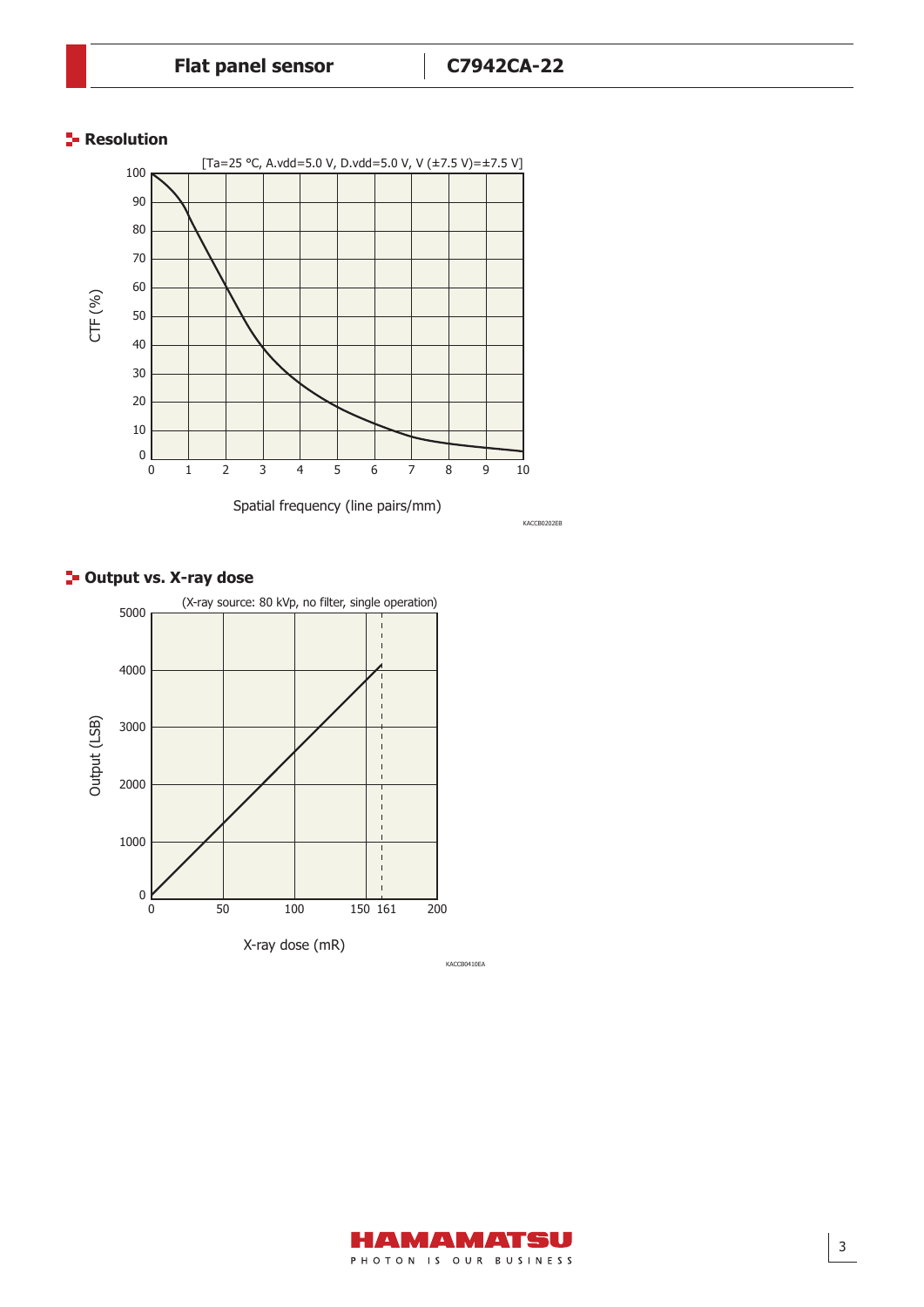## **Resolution**



KACCB0202EB

# **<sup>1</sup>- Output vs. X-ray dose**



AMAMATSU PHOTON IS OUR BUSINESS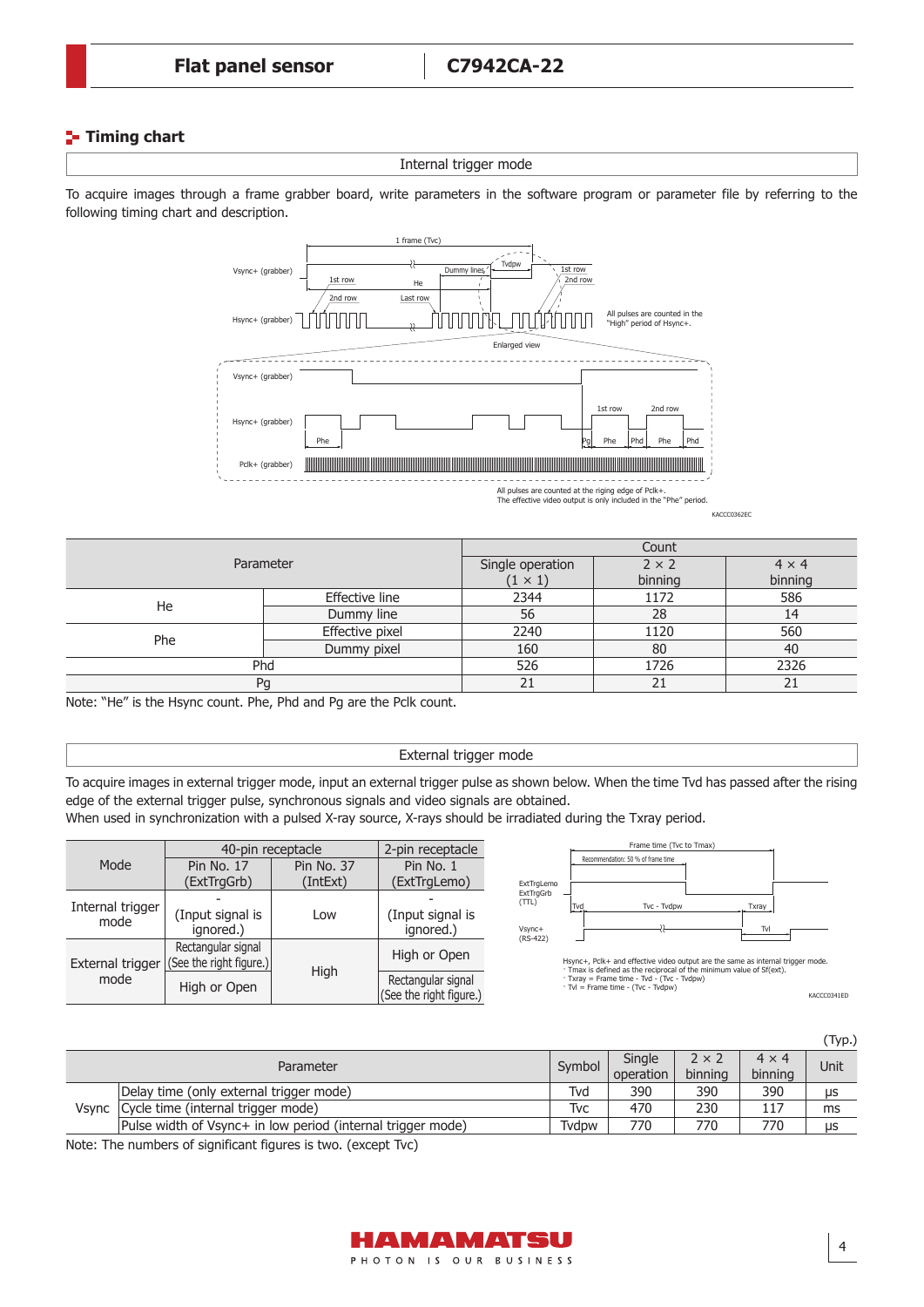# **Timing chart**

Internal trigger mode

To acquire images through a frame grabber board, write parameters in the software program or parameter file by referring to the following timing chart and description.



KACCC0362EC

| Parameter |                 | Count                              |                         |                         |  |
|-----------|-----------------|------------------------------------|-------------------------|-------------------------|--|
|           |                 | Single operation<br>$(1 \times 1)$ | $2 \times 2$<br>binning | $4 \times 4$<br>binning |  |
|           | Effective line  | 2344                               | 1172                    | 586                     |  |
| He        | Dummy line      | 56                                 | 28                      | 14                      |  |
| Phe       | Effective pixel | 2240                               | 1120                    | 560                     |  |
|           | Dummy pixel     | 160                                | 80                      | 40                      |  |
| Phd       |                 | 526                                | 1726                    | 2326                    |  |
| Pg        |                 | 21                                 | 21                      | 21                      |  |

Note: "He" is the Hsync count. Phe, Phd and Pg are the Pclk count.

#### External trigger mode

To acquire images in external trigger mode, input an external trigger pulse as shown below. When the time Tvd has passed after the rising edge of the external trigger pulse, synchronous signals and video signals are obtained.

When used in synchronization with a pulsed X-ray source, X-rays should be irradiated during the Txray period.

|                          | 40-pin receptacle                             | 2-pin receptacle       |                                               |
|--------------------------|-----------------------------------------------|------------------------|-----------------------------------------------|
| Mode                     | Pin No. 17<br>(ExtTrgGrb)                     | Pin No. 37<br>(IntExt) | Pin No. 1<br>(ExtTrgLemo)                     |
| Internal trigger<br>mode | (Input signal is<br>ignored.)                 | Low                    | (Input signal is<br>ignored.)                 |
| External trigger         | Rectangular signal<br>(See the right figure.) | High                   | High or Open                                  |
| mode                     | High or Open                                  |                        | Rectangular signal<br>(See the right figure.) |



Hsync+, Pclk+ and effective video output are the same as internal trigger mode. · Tmax is defined as the reciprocal of the minimum value of Sf(ext). · Txray = Frame time - Tvd - (Tvc - Tvdpw) · Tvl = Frame time - (Tvc - Tvdpw)

KACCC0341ED

|  |                                                             |        |           |              |              | (Typ.)     |
|--|-------------------------------------------------------------|--------|-----------|--------------|--------------|------------|
|  | Parameter                                                   | Symbol | Single    | $2 \times 2$ | $4 \times 4$ | Unit       |
|  |                                                             |        | operation | binning      | binning      |            |
|  | Delay time (only external trigger mode)                     | Tvd    | 390       | 390          | 390          | <b>LIS</b> |
|  | Vsync   Cycle time (internal trigger mode)                  | Tvc    | 470       | 230          | 117          | ms         |
|  | Pulse width of Vsync+ in low period (internal trigger mode) | Tvdpw  | 770       | 770          | 770          | μs         |

Note: The numbers of significant figures is two. (except Tvc)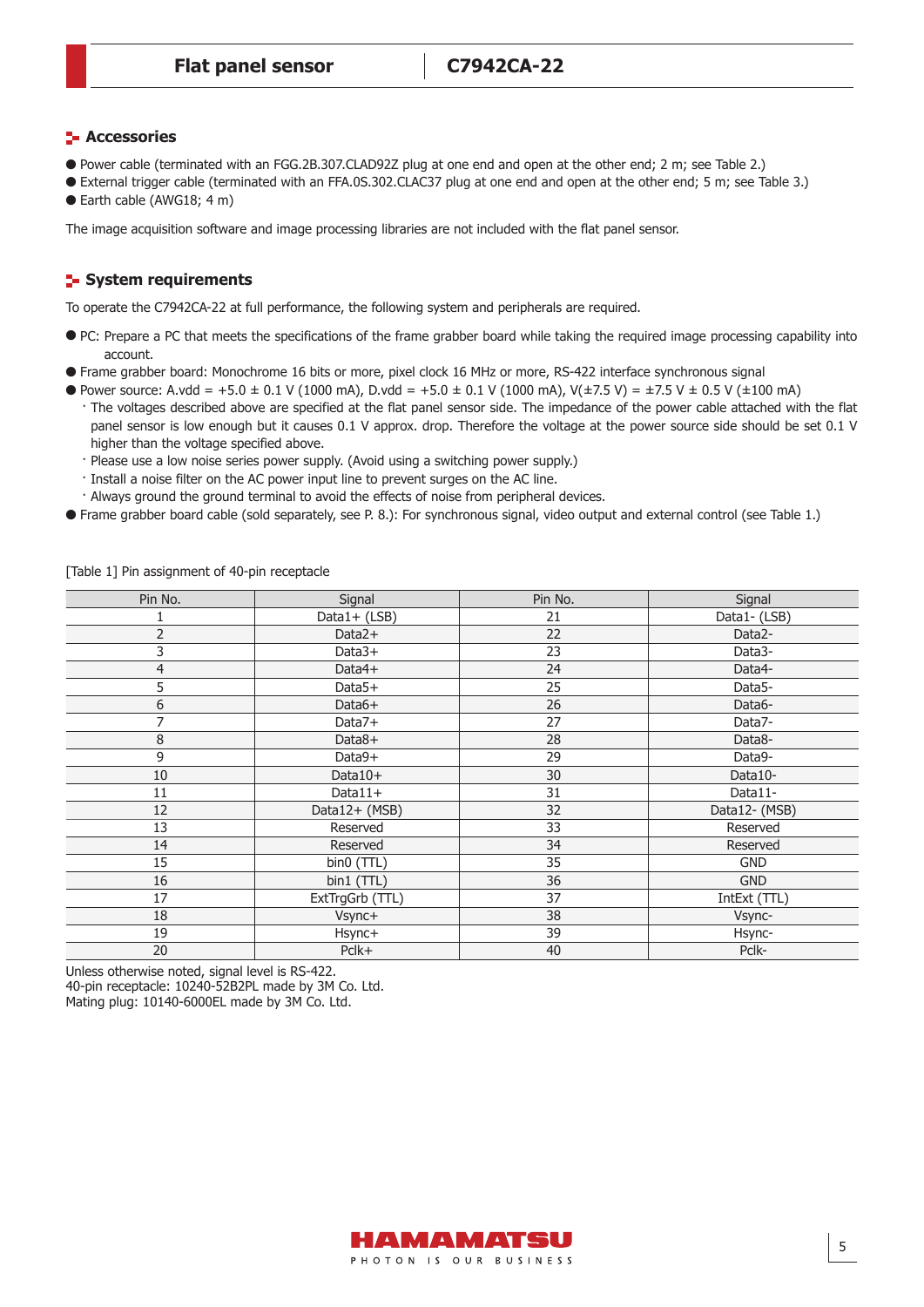## **H** Accessories

- Power cable (terminated with an FGG.2B.307.CLAD92Z plug at one end and open at the other end; 2 m; see Table 2.)
- External trigger cable (terminated with an FFA.0S.302.CLAC37 plug at one end and open at the other end; 5 m; see Table 3.)
- Earth cable (AWG18; 4 m)

The image acquisition software and image processing libraries are not included with the flat panel sensor.

# **E** System requirements

To operate the C7942CA-22 at full performance, the following system and peripherals are required.

- PC: Prepare a PC that meets the specifications of the frame grabber board while taking the required image processing capability into account.
- Frame grabber board: Monochrome 16 bits or more, pixel clock 16 MHz or more, RS-422 interface synchronous signal
- Power source: A.vdd = +5.0 ± 0.1 V (1000 mA), D.vdd = +5.0 ± 0.1 V (1000 mA), V( $\pm$ 7.5 V) =  $\pm$ 7.5 V ± 0.5 V ( $\pm$ 100 mA) · The voltages described above are specified at the flat panel sensor side. The impedance of the power cable attached with the flat panel sensor is low enough but it causes 0.1 V approx. drop. Therefore the voltage at the power source side should be set 0.1 V higher than the voltage specified above.
	- · Please use a low noise series power supply. (Avoid using a switching power supply.)
	- · Install a noise filter on the AC power input line to prevent surges on the AC line.
	- · Always ground the ground terminal to avoid the effects of noise from peripheral devices.
- Frame grabber board cable (sold separately, see P. 8.): For synchronous signal, video output and external control (see Table 1.)

| Pin No.        | Signal          | Pin No. | Signal              |
|----------------|-----------------|---------|---------------------|
|                | Data1+ (LSB)    | 21      | Data1-(LSB)         |
| $\overline{2}$ | Data2+          | 22      | Data2-              |
| 3              | $Data3+$        | 23      | Data3-              |
| $\overline{4}$ | Data4+          | 24      | Data4-              |
| 5              | $Data5+$        | 25      | Data <sub>5</sub> - |
| 6              | Data6+          | 26      | Data6-              |
| 7              | Data7+          | 27      | Data7-              |
| 8              | Data8+          | 28      | Data8-              |
| 9              | Data9+          | 29      | Data9-              |
| 10             | Data10+         | 30      | Data10-             |
| 11             | $Data11+$       | 31      | Data11-             |
| 12             | Data12+ (MSB)   | 32      | Data12-(MSB)        |
| 13             | Reserved        | 33      | Reserved            |
| 14             | Reserved        | 34      | Reserved            |
| 15             | bin0 (TTL)      | 35      | <b>GND</b>          |
| 16             | bin1 (TTL)      | 36      | <b>GND</b>          |
| 17             | ExtTrgGrb (TTL) | 37      | IntExt (TTL)        |
| 18             | Vsync+          | 38      | Vsync-              |
| 19             | Hsync+          | 39      | Hsync-              |
| 20             | Pclk+           | 40      | Pclk-               |

[Table 1] Pin assignment of 40-pin receptacle

Unless otherwise noted, signal level is RS-422. 40-pin receptacle: 10240-52B2PL made by 3M Co. Ltd. Mating plug: 10140-6000EL made by 3M Co. Ltd.

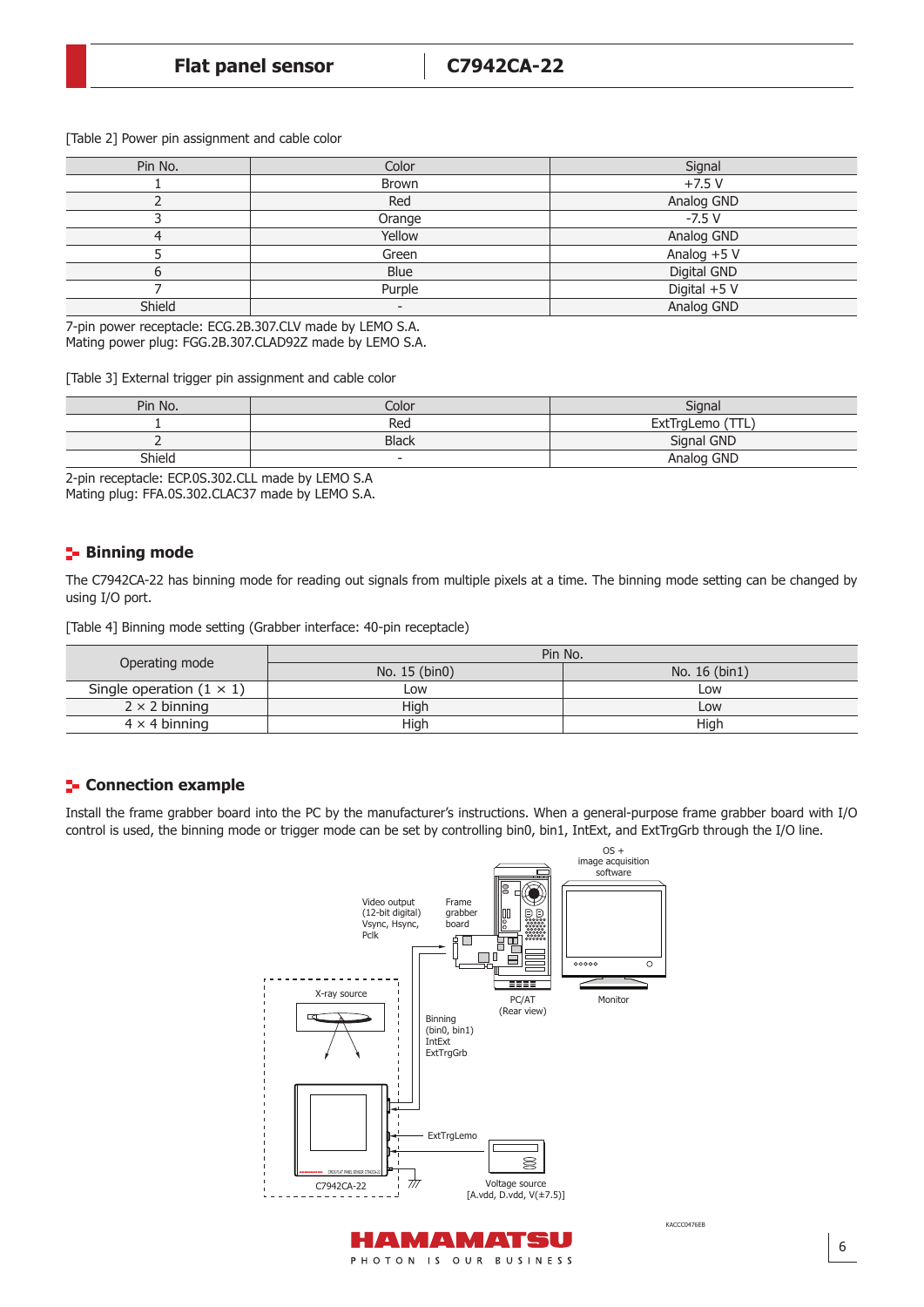|  |  | [Table 2] Power pin assignment and cable color |  |  |
|--|--|------------------------------------------------|--|--|
|  |  |                                                |  |  |

| Pin No. | Color        | Signal         |
|---------|--------------|----------------|
|         | <b>Brown</b> | $+7.5V$        |
|         | Red          | Analog GND     |
|         | Orange       | $-7.5V$        |
| 4       | Yellow       | Analog GND     |
|         | Green        | Analog +5 V    |
|         | Blue         | Digital GND    |
|         | Purple       | Digital $+5$ V |
| Shield  |              | Analog GND     |

7-pin power receptacle: ECG.2B.307.CLV made by LEMO S.A. Mating power plug: FGG.2B.307.CLAD92Z made by LEMO S.A.

[Table 3] External trigger pin assignment and cable color

| Pin No. | Color                    | Signal                      |
|---------|--------------------------|-----------------------------|
|         | Rea                      | T<br><b>ExtTrgLemo</b><br>. |
|         | <b>Black</b>             | Signal GND                  |
| Shield  | $\overline{\phantom{0}}$ | Analog GND                  |

2-pin receptacle: ECP.0S.302.CLL made by LEMO S.A

Mating plug: FFA.0S.302.CLAC37 made by LEMO S.A.

# **Binning mode**

The C7942CA-22 has binning mode for reading out signals from multiple pixels at a time. The binning mode setting can be changed by using I/O port.

[Table 4] Binning mode setting (Grabber interface: 40-pin receptacle)

|                                 | Pin No.       |               |
|---------------------------------|---------------|---------------|
| Operating mode                  | No. 15 (bin0) | No. 16 (bin1) |
| Single operation $(1 \times 1)$ | Low           | Low           |
| $2 \times 2$ binning            | High          | Low           |
| $4 \times 4$ binning            | High          | High          |

# **E** Connection example

Install the frame grabber board into the PC by the manufacturer's instructions. When a general-purpose frame grabber board with I/O control is used, the binning mode or trigger mode can be set by controlling bin0, bin1, IntExt, and ExtTrgGrb through the I/O line.



6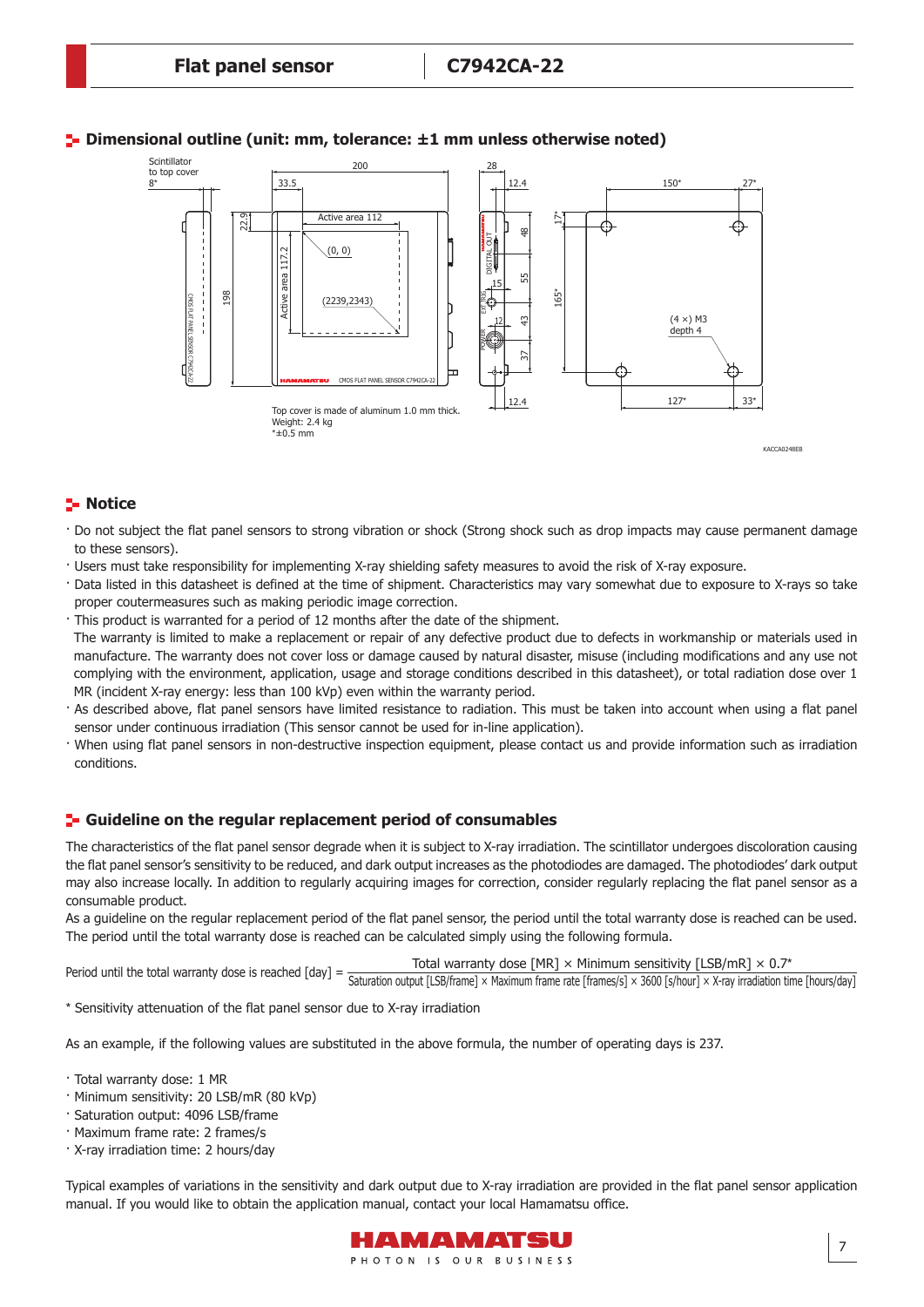

# **Dimensional outline (unit: mm, tolerance: ±1 mm unless otherwise noted)**

KACCA0248EB

## **Notice**

- · Do not subject the flat panel sensors to strong vibration or shock (Strong shock such as drop impacts may cause permanent damage to these sensors).
- · Users must take responsibility for implementing X-ray shielding safety measures to avoid the risk of X-ray exposure.
- · Data listed in this datasheet is defined at the time of shipment. Characteristics may vary somewhat due to exposure to X-rays so take proper coutermeasures such as making periodic image correction.
- · This product is warranted for a period of 12 months after the date of the shipment.

 The warranty is limited to make a replacement or repair of any defective product due to defects in workmanship or materials used in manufacture. The warranty does not cover loss or damage caused by natural disaster, misuse (including modifications and any use not complying with the environment, application, usage and storage conditions described in this datasheet), or total radiation dose over 1 MR (incident X-ray energy: less than 100 kVp) even within the warranty period.

- · As described above, flat panel sensors have limited resistance to radiation. This must be taken into account when using a flat panel sensor under continuous irradiation (This sensor cannot be used for in-line application).
- · When using flat panel sensors in non-destructive inspection equipment, please contact us and provide information such as irradiation conditions.

#### **F** Guideline on the regular replacement period of consumables

The characteristics of the flat panel sensor degrade when it is subject to X-ray irradiation. The scintillator undergoes discoloration causing the flat panel sensor's sensitivity to be reduced, and dark output increases as the photodiodes are damaged. The photodiodes' dark output may also increase locally. In addition to regularly acquiring images for correction, consider regularly replacing the flat panel sensor as a consumable product.

As a guideline on the regular replacement period of the flat panel sensor, the period until the total warranty dose is reached can be used. The period until the total warranty dose is reached can be calculated simply using the following formula.

Period until the total warranty dose is reached [day] = Total warranty dose [MR] × Minimum sensitivity [LSB/mR] × 0.7\*

Saturation output [LSB/frame] × Maximum frame rate [frames/s] × 3600 [s/hour] × X-ray irradiation time [hours/day]

\* Sensitivity attenuation of the flat panel sensor due to X-ray irradiation

As an example, if the following values are substituted in the above formula, the number of operating days is 237.

- · Total warranty dose: 1 MR
- · Minimum sensitivity: 20 LSB/mR (80 kVp)
- · Saturation output: 4096 LSB/frame
- · Maximum frame rate: 2 frames/s
- · X-ray irradiation time: 2 hours/day

Typical examples of variations in the sensitivity and dark output due to X-ray irradiation are provided in the flat panel sensor application manual. If you would like to obtain the application manual, contact your local Hamamatsu office.

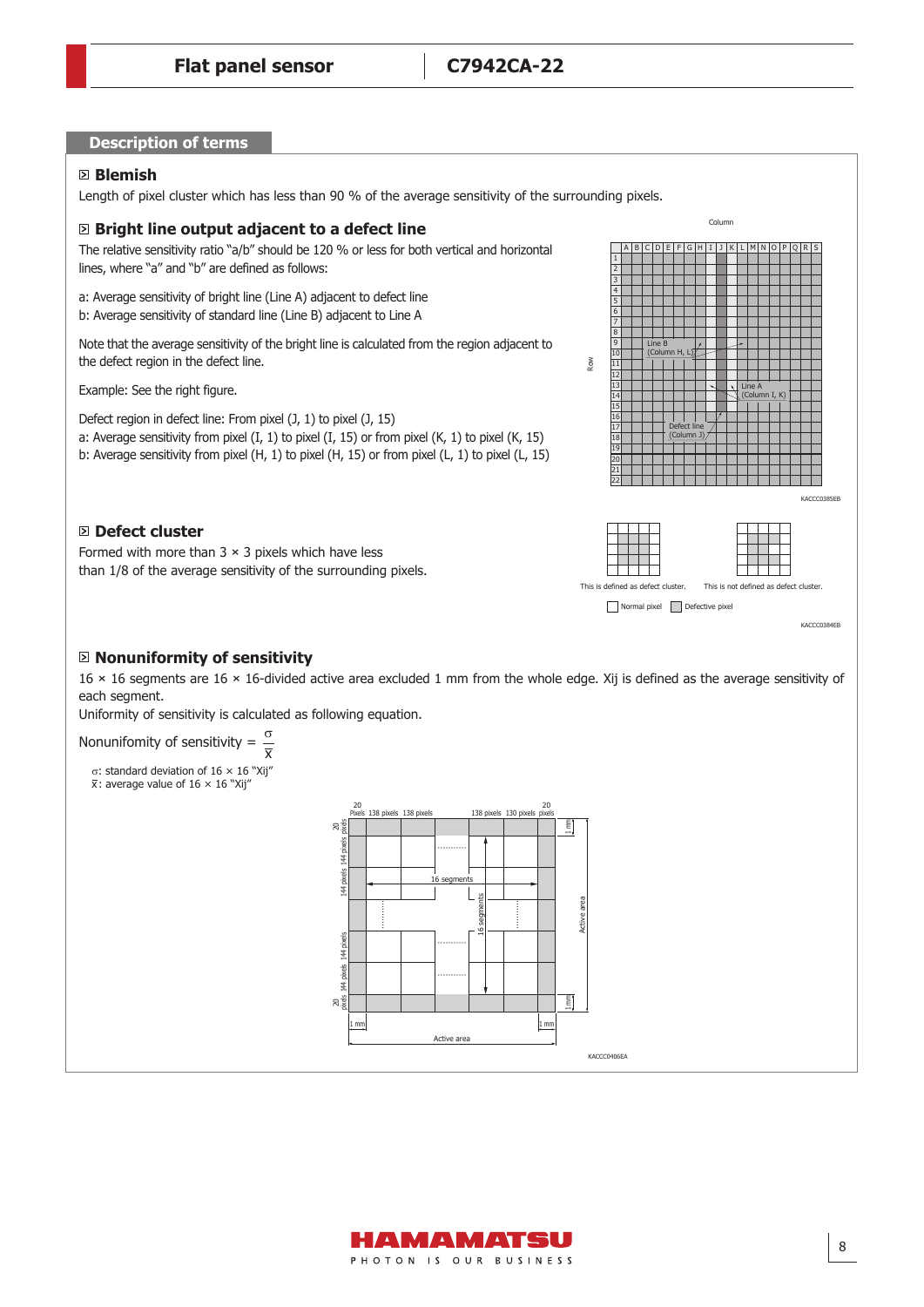#### **Description of terms**

#### **Blemish**

Length of pixel cluster which has less than 90 % of the average sensitivity of the surrounding pixels.

#### **Bright line output adjacent to a defect line**

The relative sensitivity ratio "a/b" should be 120 % or less for both vertical and horizontal lines, where "a" and "b" are defined as follows:

a: Average sensitivity of bright line (Line A) adjacent to defect line b: Average sensitivity of standard line (Line B) adjacent to Line A

Note that the average sensitivity of the bright line is calculated from the region adjacent to the defect region in the defect line.

Example: See the right figure.

Defect region in defect line: From pixel (J, 1) to pixel (J, 15) a: Average sensitivity from pixel (I, 1) to pixel (I, 15) or from pixel (K, 1) to pixel (K, 15) b: Average sensitivity from pixel (H, 1) to pixel (H, 15) or from pixel (L, 1) to pixel (L, 15)

#### **Defect cluster**

Formed with more than  $3 \times 3$  pixels which have less than 1/8 of the average sensitivity of the surrounding pixels.



**Nonuniformity of sensitivity**

16 × 16 segments are 16 × 16-divided active area excluded 1 mm from the whole edge. Xij is defined as the average sensitivity of each segment.

Uniformity of sensitivity is calculated as following equation.

Nonunifomity of sensitivity = σ  $\overline{\overline{\mathbf{x}}}$ 

σ: standard deviation of 16 × 16 "Xij"

 $\bar{x}$ : average value of 16  $\times$  16 "Xij'